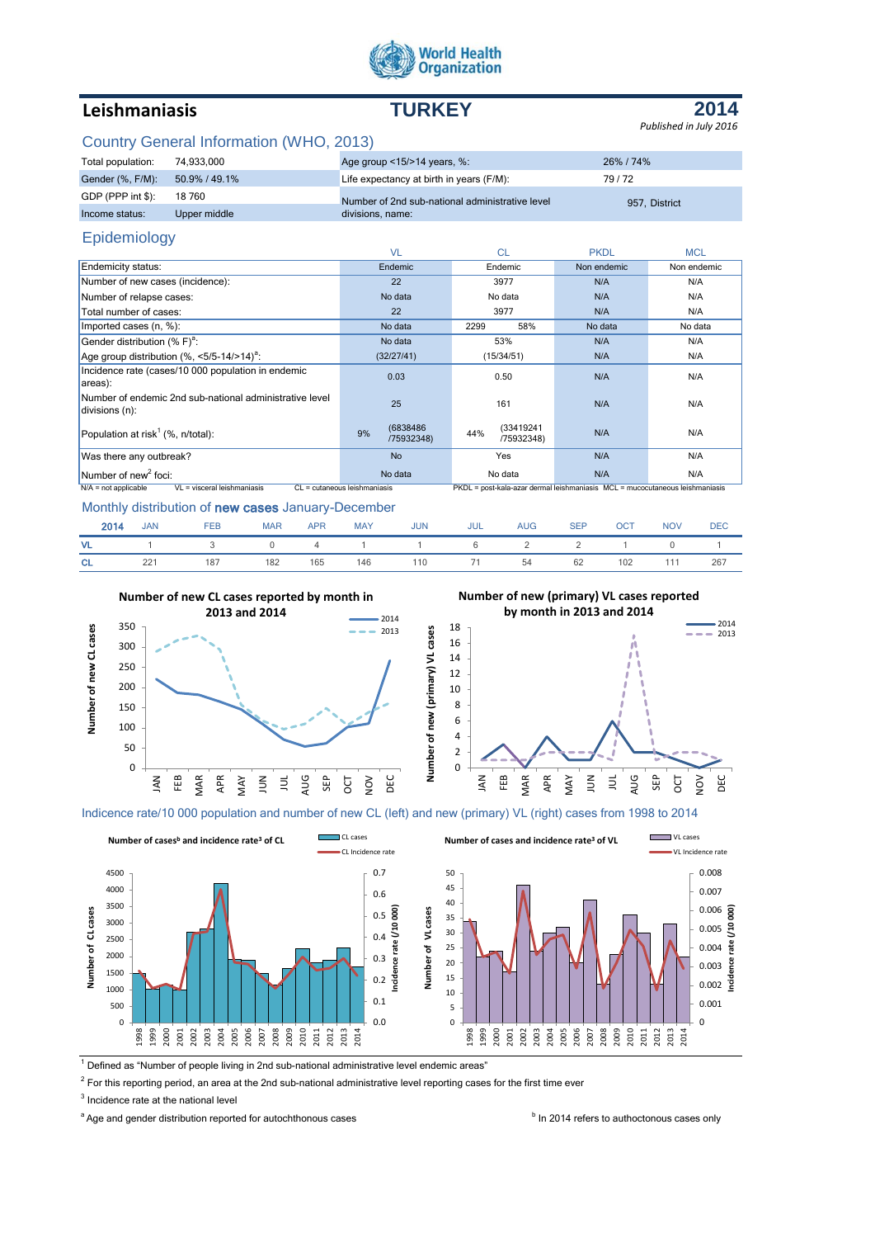

# **Leishmaniasis TURKEY**

**2014** *Published in July 2016*

## Country General Information (WHO, 2013)

| Total population: | 74.933.000    | Age group $\leq$ 15/ $>$ 14 years, %:           | 26% / 74%     |  |
|-------------------|---------------|-------------------------------------------------|---------------|--|
| Gender (%, F/M):  | 50.9% / 49.1% | Life expectancy at birth in years (F/M):        | 79/72         |  |
| GDP (PPP int \$): | 18 760        | Number of 2nd sub-national administrative level | 957. District |  |
| Income status:    | Upper middle  | divisions, name:                                |               |  |

## Epidemiology

|                                                                           | <b>VL</b>                     | <b>CL</b>                                                                    | <b>PKDL</b> | <b>MCL</b>  |
|---------------------------------------------------------------------------|-------------------------------|------------------------------------------------------------------------------|-------------|-------------|
| Endemicity status:                                                        | Endemic                       | Endemic                                                                      | Non endemic | Non endemic |
| Number of new cases (incidence):                                          | 22                            | 3977                                                                         | N/A         | N/A         |
| Number of relapse cases:                                                  | No data                       | No data                                                                      | N/A         | N/A         |
| Total number of cases:                                                    | 22                            | 3977                                                                         | N/A         | N/A         |
| Imported cases (n, %):                                                    | No data                       | 58%<br>2299                                                                  | No data     | No data     |
| Gender distribution $(%F)^{a}$ :                                          | No data                       | 53%                                                                          | N/A         | N/A         |
| Age group distribution $(% , <5/5-14/>14)^a$ :                            | (32/27/41)                    | (15/34/51)                                                                   | N/A         | N/A         |
| Incidence rate (cases/10 000 population in endemic<br>areas):             | 0.03                          | 0.50                                                                         | N/A         | N/A         |
| Number of endemic 2nd sub-national administrative level<br>divisions (n): | 25                            | 161                                                                          | N/A         | N/A         |
| Population at risk <sup>1</sup> (%, $n$ /total):                          | (6838486)<br>9%<br>/75932348) | (33419241<br>44%<br>/75932348)                                               | N/A         | N/A         |
| Was there any outbreak?                                                   | <b>No</b>                     | Yes                                                                          | N/A         | N/A         |
| $N$ umber of new <sup>2</sup> foci:                                       | No data                       | No data                                                                      | N/A         | N/A         |
| $N/A$ = not applicable<br>VL = visceral leishmaniasis                     | CL = cutaneous leishmaniasis  | PKDL = post-kala-azar dermal leishmaniasis MCL = mucocutaneous leishmaniasis |             |             |

### Monthly distribution of new cases January-December

| 2014      | JAN FEB |                                              | <b>MAR</b> |  | APR MAY JUN JUL AUG SEP OCT |  |  | NOV DEC |  |
|-----------|---------|----------------------------------------------|------------|--|-----------------------------|--|--|---------|--|
|           |         | VL 1 3 0 4 1 1 6 2 2 1 0 1                   |            |  |                             |  |  |         |  |
| <b>CL</b> |         | 221 187 182 165 146 110 71 54 62 102 111 267 |            |  |                             |  |  |         |  |

**Number of new CL cases reported by month in** 







Indicence rate/10 000 population and number of new CL (left) and new (primary) VL (right) cases from 1998 to 2014



 $1$  Defined as "Number of people living in 2nd sub-national administrative level endemic areas"

 $2$  For this reporting period, an area at the 2nd sub-national administrative level reporting cases for the first time ever

<sup>3</sup> Incidence rate at the national level

<sup>a</sup> Age and gender distribution reported for autochthonous cases **In 2014** refers to authoctonous cases only